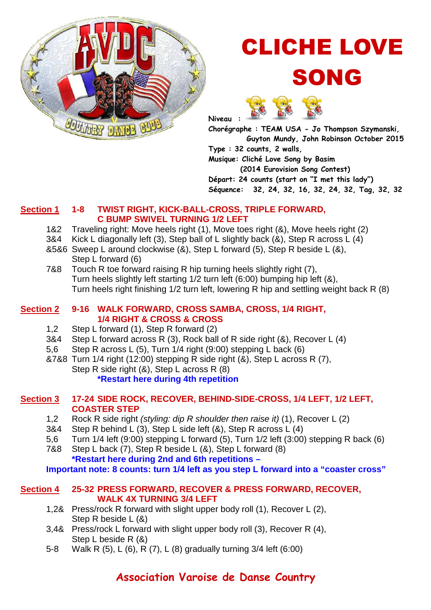

# CLICHE LOVE SONG



**Chorégraphe : TEAM USA - Jo Thompson Szymanski, Guyton Mundy, John Robinson October 2015 Type : 32 counts, 2 walls, Musique: Cliché Love Song by Basim (2014 Eurovision Song Contest) Départ: 24 counts (start on "I met this lady") Séquence: 32, 24, 32, 16, 32, 24, 32, Tag, 32, 32** 

## **Section 1 1-8 TWIST RIGHT, KICK-BALL-CROSS, TRIPLE FORWARD, C BUMP SWIVEL TURNING 1/2 LEFT**

- 1&2 Traveling right: Move heels right (1), Move toes right (&), Move heels right (2)
- 3&4 Kick L diagonally left (3), Step ball of L slightly back (&), Step R across L (4)
- &5&6 Sweep L around clockwise (&), Step L forward (5), Step R beside L (&), Step L forward (6)
- 7&8 Touch R toe forward raising R hip turning heels slightly right (7), Turn heels slightly left starting 1/2 turn left (6:00) bumping hip left (&), Turn heels right finishing 1/2 turn left, lowering R hip and settling weight back R (8)

## **Section 2 9-16 WALK FORWARD, CROSS SAMBA, CROSS, 1/4 RIGHT, 1/4 RIGHT & CROSS & CROSS**

- 1,2 Step L forward (1), Step R forward (2)
- 3&4 Step L forward across R (3), Rock ball of R side right (&), Recover L (4)
- 5,6 Step R across L (5), Turn 1/4 right (9:00) stepping L back (6)
- &7&8 Turn 1/4 right (12:00) stepping R side right (&), Step L across R (7),
	- Step R side right (&), Step L across R (8)

## **\*Restart here during 4th repetition**

## **Section 3 17-24 SIDE ROCK, RECOVER, BEHIND-SIDE-CROSS, 1/4 LEFT, 1/2 LEFT, COASTER STEP**

- 1,2 Rock R side right (styling: dip R shoulder then raise it) (1), Recover L (2)
- 3&4 Step R behind L (3), Step L side left (&), Step R across L (4)
- 5,6 Turn 1/4 left (9:00) stepping L forward (5), Turn 1/2 left (3:00) stepping R back (6)
- 7&8 Step L back (7), Step R beside L (&), Step L forward (8)  **\*Restart here during 2nd and 6th repetitions –**

 **Important note: 8 counts: turn 1/4 left as you step L forward into a "coaster cross"** 

### **Section 4 25-32 PRESS FORWARD, RECOVER & PRESS FORWARD, RECOVER, WALK 4X TURNING 3/4 LEFT**

- 1,2& Press/rock R forward with slight upper body roll (1), Recover L (2), Step R beside L (&)
- 3,4& Press/rock L forward with slight upper body roll (3), Recover R (4), Step L beside R (&)
- 5-8 Walk R (5), L (6), R (7), L (8) gradually turning 3/4 left (6:00)

## **Association Varoise de Danse Country**